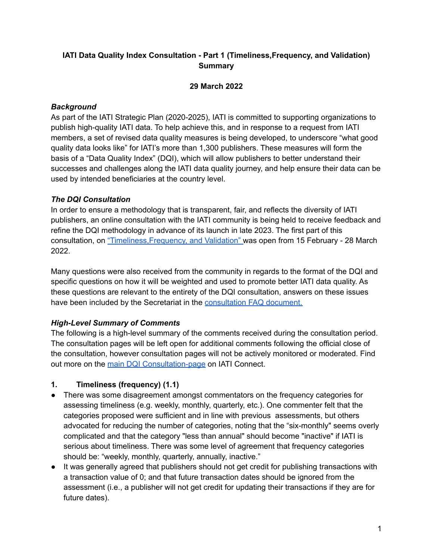# **IATI Data Quality Index Consultation - Part 1 (Timeliness,Frequency, and Validation) Summary**

### **29 March 2022**

### *Background*

As part of the IATI Strategic Plan (2020-2025), IATI is committed to supporting organizations to publish high-quality IATI data. To help achieve this, and in response to a request from IATI members, a set of revised data quality measures is being developed, to underscore "what good quality data looks like" for IATI's more than 1,300 publishers. These measures will form the basis of a "Data Quality Index" (DQI), which will allow publishers to better understand their successes and challenges along the IATI data quality journey, and help ensure their data can be used by intended beneficiaries at the country level.

### *The DQI Consultation*

In order to ensure a methodology that is transparent, fair, and reflects the diversity of IATI publishers, an online consultation with the IATI community is being held to receive feedback and refine the DQI methodology in advance of its launch in late 2023. The first part of this consultation, on ["Timeliness,Frequency,](https://iaticonnect.org/DQI-Consultation-2) and Validation" was open from 15 February - 28 March 2022.

Many questions were also received from the community in regards to the format of the DQI and specific questions on how it will be weighted and used to promote better IATI data quality. As these questions are relevant to the entirety of the DQI consultation, answers on these issues have been included by the Secretariat in the [consultation](https://iaticonnect.org/FAQ-DQI-Timeliness-Validation) FAQ document.

### *High-Level Summary of Comments*

The following is a high-level summary of the comments received during the consultation period. The consultation pages will be left open for additional comments following the official close of the consultation, however consultation pages will not be actively monitored or moderated. Find out more on the main DQI [Consultation-page](https://iaticonnect.org/DQI-Consultation-2) on IATI Connect.

#### **1. Timeliness (frequency) (1.1)**

- There was some disagreement amongst commentators on the frequency categories for assessing timeliness (e.g. weekly, monthly, quarterly, etc.). One commenter felt that the categories proposed were sufficient and in line with previous assessments, but others advocated for reducing the number of categories, noting that the "six-monthly" seems overly complicated and that the category "less than annual" should become "inactive" if IATI is serious about timeliness. There was some level of agreement that frequency categories should be: "weekly, monthly, quarterly, annually, inactive."
- It was generally agreed that publishers should not get credit for publishing transactions with a transaction value of 0; and that future transaction dates should be ignored from the assessment (i.e., a publisher will not get credit for updating their transactions if they are for future dates).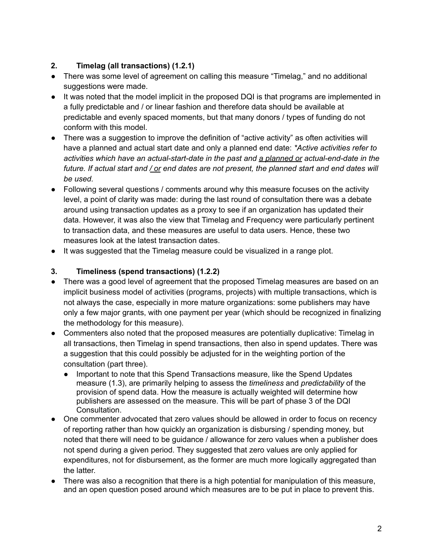# **2. Timelag (all transactions) (1.2.1)**

- There was some level of agreement on calling this measure "Timelag," and no additional suggestions were made.
- It was noted that the model implicit in the proposed DQI is that programs are implemented in a fully predictable and / or linear fashion and therefore data should be available at predictable and evenly spaced moments, but that many donors / types of funding do not conform with this model.
- There was a suggestion to improve the definition of "active activity" as often activities will have a planned and actual start date and only a planned end date: *\*Active activities refer to activities which have an actual-start-date in the past and a planned or actual-end-date in the* future. If actual start and / or end dates are not present, the planned start and end dates will *be used.*
- Following several questions / comments around why this measure focuses on the activity level, a point of clarity was made: during the last round of consultation there was a debate around using transaction updates as a proxy to see if an organization has updated their data. However, it was also the view that Timelag and Frequency were particularly pertinent to transaction data, and these measures are useful to data users. Hence, these two measures look at the latest transaction dates.
- It was suggested that the Timelag measure could be visualized in a range plot.

## **3. Timeliness (spend transactions) (1.2.2)**

- There was a good level of agreement that the proposed Timelag measures are based on an implicit business model of activities (programs, projects) with multiple transactions, which is not always the case, especially in more mature organizations: some publishers may have only a few major grants, with one payment per year (which should be recognized in finalizing the methodology for this measure).
- Commenters also noted that the proposed measures are potentially duplicative: Timelag in all transactions, then Timelag in spend transactions, then also in spend updates. There was a suggestion that this could possibly be adjusted for in the weighting portion of the consultation (part three).
	- Important to note that this Spend Transactions measure, like the Spend Updates measure (1.3), are primarily helping to assess the *timeliness* and *predictability* of the provision of spend data. How the measure is actually weighted will determine how publishers are assessed on the measure. This will be part of phase 3 of the DQI Consultation.
- One commenter advocated that zero values should be allowed in order to focus on recency of reporting rather than how quickly an organization is disbursing / spending money, but noted that there will need to be guidance / allowance for zero values when a publisher does not spend during a given period. They suggested that zero values are only applied for expenditures, not for disbursement, as the former are much more logically aggregated than the latter.
- There was also a recognition that there is a high potential for manipulation of this measure, and an open question posed around which measures are to be put in place to prevent this.